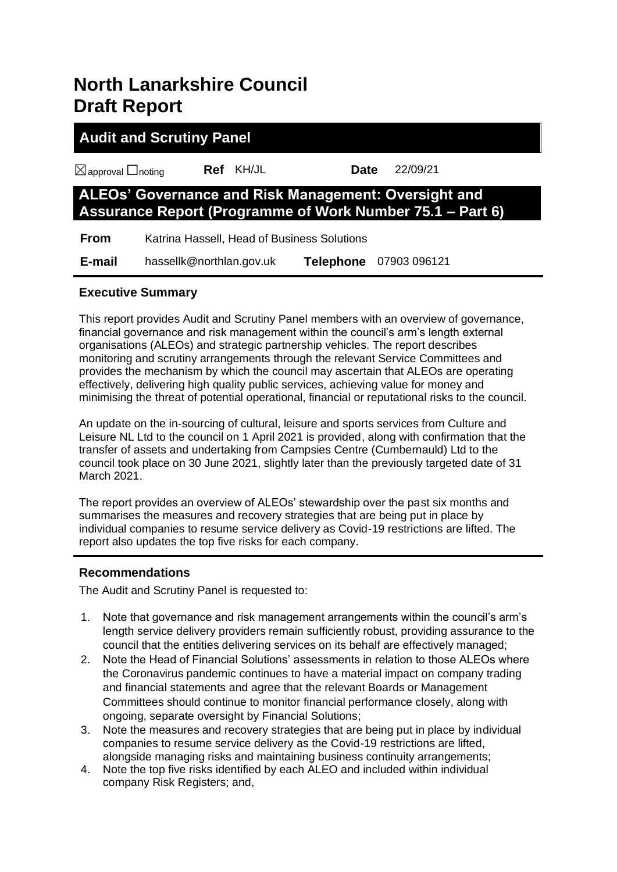## **North Lanarkshire Council Draft Report**

# **Audit and Scrutiny Panel** ☒approval ☐noting **Ref** KH/JL **Date** 22/09/21 **ALEOs' Governance and Risk Management: Oversight and Assurance Report (Programme of Work Number 75.1 – Part 6)**

**From** Katrina Hassell, Head of Business Solutions

 **E-mail** hassellk@northlan.gov.uk **Telephone** 07903 096121

## **Executive Summary**

This report provides Audit and Scrutiny Panel members with an overview of governance, financial governance and risk management within the council's arm's length external organisations (ALEOs) and strategic partnership vehicles. The report describes monitoring and scrutiny arrangements through the relevant Service Committees and provides the mechanism by which the council may ascertain that ALEOs are operating effectively, delivering high quality public services, achieving value for money and minimising the threat of potential operational, financial or reputational risks to the council.

An update on the in-sourcing of cultural, leisure and sports services from Culture and Leisure NL Ltd to the council on 1 April 2021 is provided, along with confirmation that the transfer of assets and undertaking from Campsies Centre (Cumbernauld) Ltd to the council took place on 30 June 2021, slightly later than the previously targeted date of 31 March 2021.

The report provides an overview of ALEOs' stewardship over the past six months and summarises the measures and recovery strategies that are being put in place by individual companies to resume service delivery as Covid-19 restrictions are lifted. The report also updates the top five risks for each company.

## **Recommendations**

The Audit and Scrutiny Panel is requested to:

- 1. Note that governance and risk management arrangements within the council's arm's length service delivery providers remain sufficiently robust, providing assurance to the council that the entities delivering services on its behalf are effectively managed;
- 2. Note the Head of Financial Solutions' assessments in relation to those ALEOs where the Coronavirus pandemic continues to have a material impact on company trading and financial statements and agree that the relevant Boards or Management Committees should continue to monitor financial performance closely, along with ongoing, separate oversight by Financial Solutions;
- 3. Note the measures and recovery strategies that are being put in place by individual companies to resume service delivery as the Covid-19 restrictions are lifted, alongside managing risks and maintaining business continuity arrangements;
- 4. Note the top five risks identified by each ALEO and included within individual company Risk Registers; and,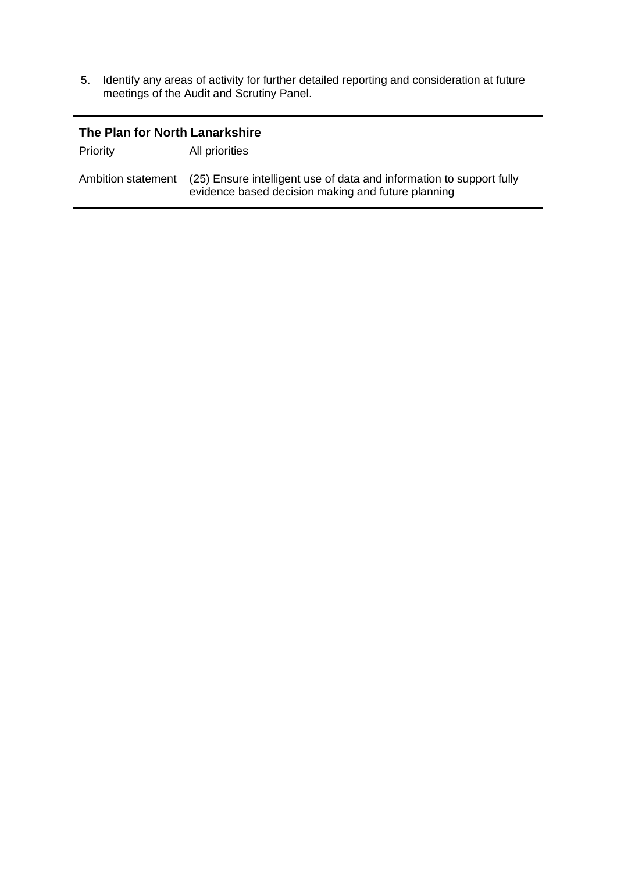5. Identify any areas of activity for further detailed reporting and consideration at future meetings of the Audit and Scrutiny Panel.

| The Plan for North Lanarkshire |                                                                                                                            |  |  |  |
|--------------------------------|----------------------------------------------------------------------------------------------------------------------------|--|--|--|
| Priority                       | All priorities                                                                                                             |  |  |  |
| Ambition statement             | (25) Ensure intelligent use of data and information to support fully<br>evidence based decision making and future planning |  |  |  |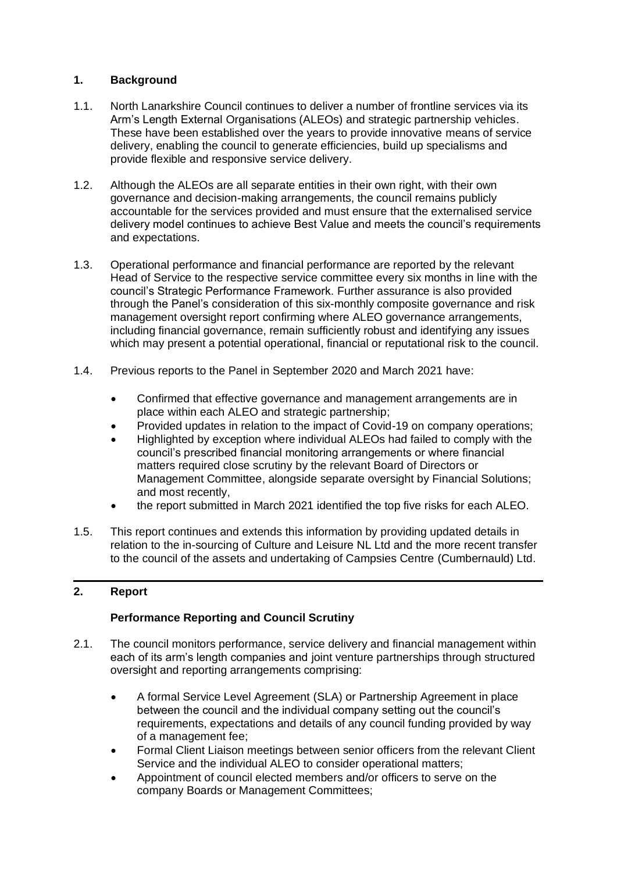## **1. Background**

- 1.1. North Lanarkshire Council continues to deliver a number of frontline services via its Arm's Length External Organisations (ALEOs) and strategic partnership vehicles. These have been established over the years to provide innovative means of service delivery, enabling the council to generate efficiencies, build up specialisms and provide flexible and responsive service delivery.
- 1.2. Although the ALEOs are all separate entities in their own right, with their own governance and decision-making arrangements, the council remains publicly accountable for the services provided and must ensure that the externalised service delivery model continues to achieve Best Value and meets the council's requirements and expectations.
- 1.3. Operational performance and financial performance are reported by the relevant Head of Service to the respective service committee every six months in line with the council's Strategic Performance Framework. Further assurance is also provided through the Panel's consideration of this six-monthly composite governance and risk management oversight report confirming where ALEO governance arrangements, including financial governance, remain sufficiently robust and identifying any issues which may present a potential operational, financial or reputational risk to the council.
- 1.4. Previous reports to the Panel in September 2020 and March 2021 have:
	- Confirmed that effective governance and management arrangements are in place within each ALEO and strategic partnership;
	- Provided updates in relation to the impact of Covid-19 on company operations;
	- Highlighted by exception where individual ALEOs had failed to comply with the council's prescribed financial monitoring arrangements or where financial matters required close scrutiny by the relevant Board of Directors or Management Committee, alongside separate oversight by Financial Solutions; and most recently,
	- the report submitted in March 2021 identified the top five risks for each ALEO.
- 1.5. This report continues and extends this information by providing updated details in relation to the in-sourcing of Culture and Leisure NL Ltd and the more recent transfer to the council of the assets and undertaking of Campsies Centre (Cumbernauld) Ltd.

## **2. Report**

## **Performance Reporting and Council Scrutiny**

- 2.1. The council monitors performance, service delivery and financial management within each of its arm's length companies and joint venture partnerships through structured oversight and reporting arrangements comprising:
	- A formal Service Level Agreement (SLA) or Partnership Agreement in place between the council and the individual company setting out the council's requirements, expectations and details of any council funding provided by way of a management fee;
	- Formal Client Liaison meetings between senior officers from the relevant Client Service and the individual ALEO to consider operational matters;
	- Appointment of council elected members and/or officers to serve on the company Boards or Management Committees;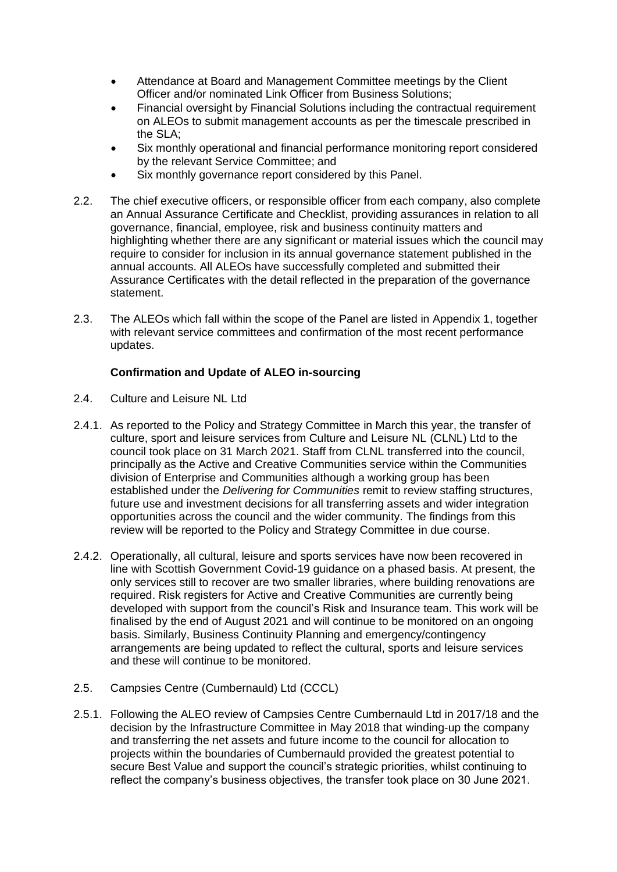- Attendance at Board and Management Committee meetings by the Client Officer and/or nominated Link Officer from Business Solutions;
- Financial oversight by Financial Solutions including the contractual requirement on ALEOs to submit management accounts as per the timescale prescribed in the SLA;
- Six monthly operational and financial performance monitoring report considered by the relevant Service Committee; and
- Six monthly governance report considered by this Panel.
- 2.2. The chief executive officers, or responsible officer from each company, also complete an Annual Assurance Certificate and Checklist, providing assurances in relation to all governance, financial, employee, risk and business continuity matters and highlighting whether there are any significant or material issues which the council may require to consider for inclusion in its annual governance statement published in the annual accounts. All ALEOs have successfully completed and submitted their Assurance Certificates with the detail reflected in the preparation of the governance statement.
- 2.3. The ALEOs which fall within the scope of the Panel are listed in Appendix 1, together with relevant service committees and confirmation of the most recent performance updates.

## **Confirmation and Update of ALEO in-sourcing**

- 2.4. Culture and Leisure NL Ltd
- 2.4.1. As reported to the Policy and Strategy Committee in March this year, the transfer of culture, sport and leisure services from Culture and Leisure NL (CLNL) Ltd to the council took place on 31 March 2021. Staff from CLNL transferred into the council, principally as the Active and Creative Communities service within the Communities division of Enterprise and Communities although a working group has been established under the *Delivering for Communities* remit to review staffing structures, future use and investment decisions for all transferring assets and wider integration opportunities across the council and the wider community. The findings from this review will be reported to the Policy and Strategy Committee in due course.
- 2.4.2. Operationally, all cultural, leisure and sports services have now been recovered in line with Scottish Government Covid-19 guidance on a phased basis. At present, the only services still to recover are two smaller libraries, where building renovations are required. Risk registers for Active and Creative Communities are currently being developed with support from the council's Risk and Insurance team. This work will be finalised by the end of August 2021 and will continue to be monitored on an ongoing basis. Similarly, Business Continuity Planning and emergency/contingency arrangements are being updated to reflect the cultural, sports and leisure services and these will continue to be monitored.
- 2.5. Campsies Centre (Cumbernauld) Ltd (CCCL)
- 2.5.1. Following the ALEO review of Campsies Centre Cumbernauld Ltd in 2017/18 and the decision by the Infrastructure Committee in May 2018 that winding-up the company and transferring the net assets and future income to the council for allocation to projects within the boundaries of Cumbernauld provided the greatest potential to secure Best Value and support the council's strategic priorities, whilst continuing to reflect the company's business objectives, the transfer took place on 30 June 2021.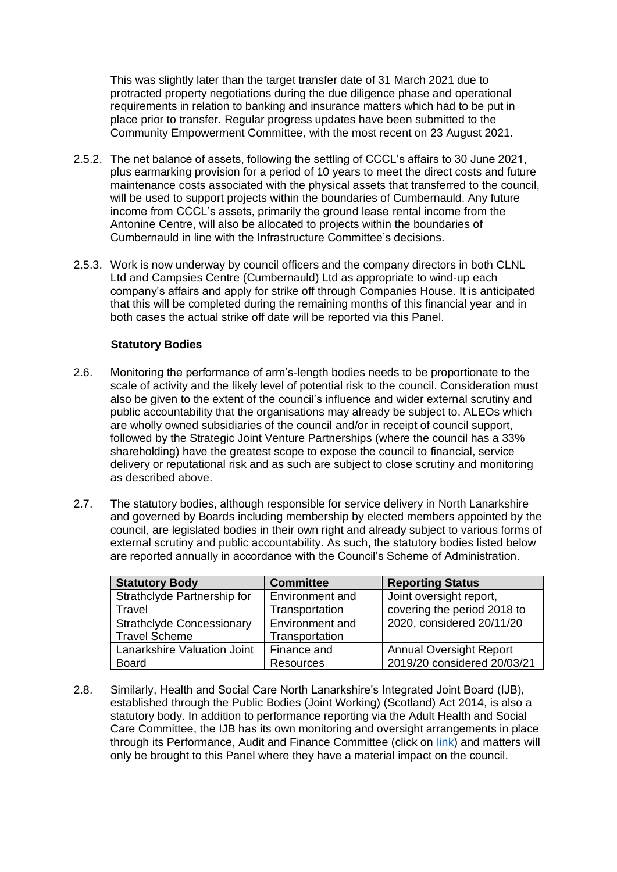This was slightly later than the target transfer date of 31 March 2021 due to protracted property negotiations during the due diligence phase and operational requirements in relation to banking and insurance matters which had to be put in place prior to transfer. Regular progress updates have been submitted to the Community Empowerment Committee, with the most recent on 23 August 2021.

- 2.5.2. The net balance of assets, following the settling of CCCL's affairs to 30 June 2021, plus earmarking provision for a period of 10 years to meet the direct costs and future maintenance costs associated with the physical assets that transferred to the council, will be used to support projects within the boundaries of Cumbernauld. Any future income from CCCL's assets, primarily the ground lease rental income from the Antonine Centre, will also be allocated to projects within the boundaries of Cumbernauld in line with the Infrastructure Committee's decisions.
- 2.5.3. Work is now underway by council officers and the company directors in both CLNL Ltd and Campsies Centre (Cumbernauld) Ltd as appropriate to wind-up each company's affairs and apply for strike off through Companies House. It is anticipated that this will be completed during the remaining months of this financial year and in both cases the actual strike off date will be reported via this Panel.

#### **Statutory Bodies**

- 2.6. Monitoring the performance of arm's-length bodies needs to be proportionate to the scale of activity and the likely level of potential risk to the council. Consideration must also be given to the extent of the council's influence and wider external scrutiny and public accountability that the organisations may already be subject to. ALEOs which are wholly owned subsidiaries of the council and/or in receipt of council support, followed by the Strategic Joint Venture Partnerships (where the council has a 33% shareholding) have the greatest scope to expose the council to financial, service delivery or reputational risk and as such are subject to close scrutiny and monitoring as described above.
- 2.7. The statutory bodies, although responsible for service delivery in North Lanarkshire and governed by Boards including membership by elected members appointed by the council, are legislated bodies in their own right and already subject to various forms of external scrutiny and public accountability. As such, the statutory bodies listed below are reported annually in accordance with the Council's Scheme of Administration.

| <b>Statutory Body</b>            | <b>Committee</b> | <b>Reporting Status</b>        |
|----------------------------------|------------------|--------------------------------|
| Strathclyde Partnership for      | Environment and  | Joint oversight report,        |
| Travel                           | Transportation   | covering the period 2018 to    |
| <b>Strathclyde Concessionary</b> | Environment and  | 2020, considered 20/11/20      |
| <b>Travel Scheme</b>             | Transportation   |                                |
| Lanarkshire Valuation Joint      | Finance and      | <b>Annual Oversight Report</b> |
| <b>Board</b>                     | <b>Resources</b> | 2019/20 considered 20/03/21    |

2.8. Similarly, Health and Social Care North Lanarkshire's Integrated Joint Board (IJB), established through the Public Bodies (Joint Working) (Scotland) Act 2014, is also a statutory body. In addition to performance reporting via the Adult Health and Social Care Committee, the IJB has its own monitoring and oversight arrangements in place through its Performance, Audit and Finance Committee (click on [link\)](https://mars.northlanarkshire.gov.uk/egenda/public/kab71.pl?cmte=IJB) and matters will only be brought to this Panel where they have a material impact on the council.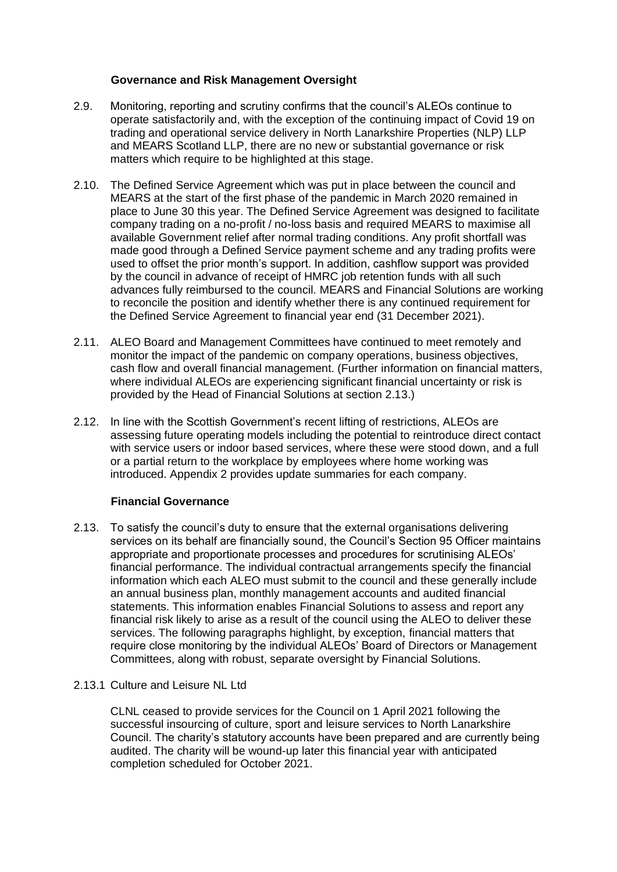#### **Governance and Risk Management Oversight**

- 2.9. Monitoring, reporting and scrutiny confirms that the council's ALEOs continue to operate satisfactorily and, with the exception of the continuing impact of Covid 19 on trading and operational service delivery in North Lanarkshire Properties (NLP) LLP and MEARS Scotland LLP, there are no new or substantial governance or risk matters which require to be highlighted at this stage.
- 2.10. The Defined Service Agreement which was put in place between the council and MEARS at the start of the first phase of the pandemic in March 2020 remained in place to June 30 this year. The Defined Service Agreement was designed to facilitate company trading on a no-profit / no-loss basis and required MEARS to maximise all available Government relief after normal trading conditions. Any profit shortfall was made good through a Defined Service payment scheme and any trading profits were used to offset the prior month's support. In addition, cashflow support was provided by the council in advance of receipt of HMRC job retention funds with all such advances fully reimbursed to the council. MEARS and Financial Solutions are working to reconcile the position and identify whether there is any continued requirement for the Defined Service Agreement to financial year end (31 December 2021).
- 2.11. ALEO Board and Management Committees have continued to meet remotely and monitor the impact of the pandemic on company operations, business objectives, cash flow and overall financial management. (Further information on financial matters, where individual ALEOs are experiencing significant financial uncertainty or risk is provided by the Head of Financial Solutions at section 2.13.)
- 2.12. In line with the Scottish Government's recent lifting of restrictions, ALEOs are assessing future operating models including the potential to reintroduce direct contact with service users or indoor based services, where these were stood down, and a full or a partial return to the workplace by employees where home working was introduced. Appendix 2 provides update summaries for each company.

#### **Financial Governance**

2.13. To satisfy the council's duty to ensure that the external organisations delivering services on its behalf are financially sound, the Council's Section 95 Officer maintains appropriate and proportionate processes and procedures for scrutinising ALEOs' financial performance. The individual contractual arrangements specify the financial information which each ALEO must submit to the council and these generally include an annual business plan, monthly management accounts and audited financial statements. This information enables Financial Solutions to assess and report any financial risk likely to arise as a result of the council using the ALEO to deliver these services. The following paragraphs highlight, by exception, financial matters that require close monitoring by the individual ALEOs' Board of Directors or Management Committees, along with robust, separate oversight by Financial Solutions.

#### 2.13.1 Culture and Leisure NL Ltd

CLNL ceased to provide services for the Council on 1 April 2021 following the successful insourcing of culture, sport and leisure services to North Lanarkshire Council. The charity's statutory accounts have been prepared and are currently being audited. The charity will be wound-up later this financial year with anticipated completion scheduled for October 2021.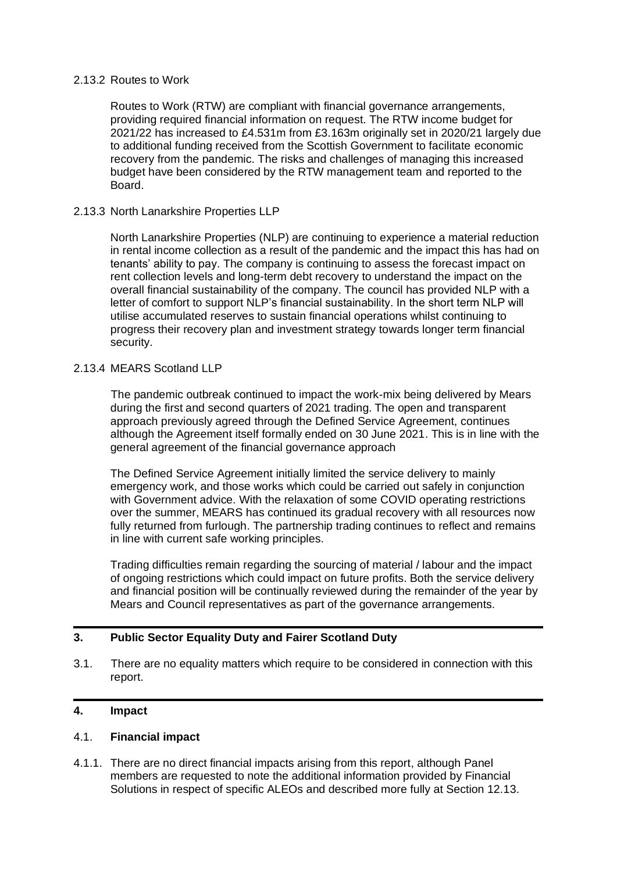#### 2.13.2 Routes to Work

Routes to Work (RTW) are compliant with financial governance arrangements, providing required financial information on request. The RTW income budget for 2021/22 has increased to £4.531m from £3.163m originally set in 2020/21 largely due to additional funding received from the Scottish Government to facilitate economic recovery from the pandemic. The risks and challenges of managing this increased budget have been considered by the RTW management team and reported to the Board.

#### 2.13.3 North Lanarkshire Properties LLP

North Lanarkshire Properties (NLP) are continuing to experience a material reduction in rental income collection as a result of the pandemic and the impact this has had on tenants' ability to pay. The company is continuing to assess the forecast impact on rent collection levels and long-term debt recovery to understand the impact on the overall financial sustainability of the company. The council has provided NLP with a letter of comfort to support NLP's financial sustainability. In the short term NLP will utilise accumulated reserves to sustain financial operations whilst continuing to progress their recovery plan and investment strategy towards longer term financial security.

#### 2.13.4 MEARS Scotland LLP

The pandemic outbreak continued to impact the work-mix being delivered by Mears during the first and second quarters of 2021 trading. The open and transparent approach previously agreed through the Defined Service Agreement, continues although the Agreement itself formally ended on 30 June 2021. This is in line with the general agreement of the financial governance approach

The Defined Service Agreement initially limited the service delivery to mainly emergency work, and those works which could be carried out safely in conjunction with Government advice. With the relaxation of some COVID operating restrictions over the summer, MEARS has continued its gradual recovery with all resources now fully returned from furlough. The partnership trading continues to reflect and remains in line with current safe working principles.

Trading difficulties remain regarding the sourcing of material / labour and the impact of ongoing restrictions which could impact on future profits. Both the service delivery and financial position will be continually reviewed during the remainder of the year by Mears and Council representatives as part of the governance arrangements.

#### **3. Public Sector Equality Duty and Fairer Scotland Duty**

3.1. There are no equality matters which require to be considered in connection with this report.

#### **4. Impact**

#### 4.1. **Financial impact**

4.1.1. There are no direct financial impacts arising from this report, although Panel members are requested to note the additional information provided by Financial Solutions in respect of specific ALEOs and described more fully at Section 12.13.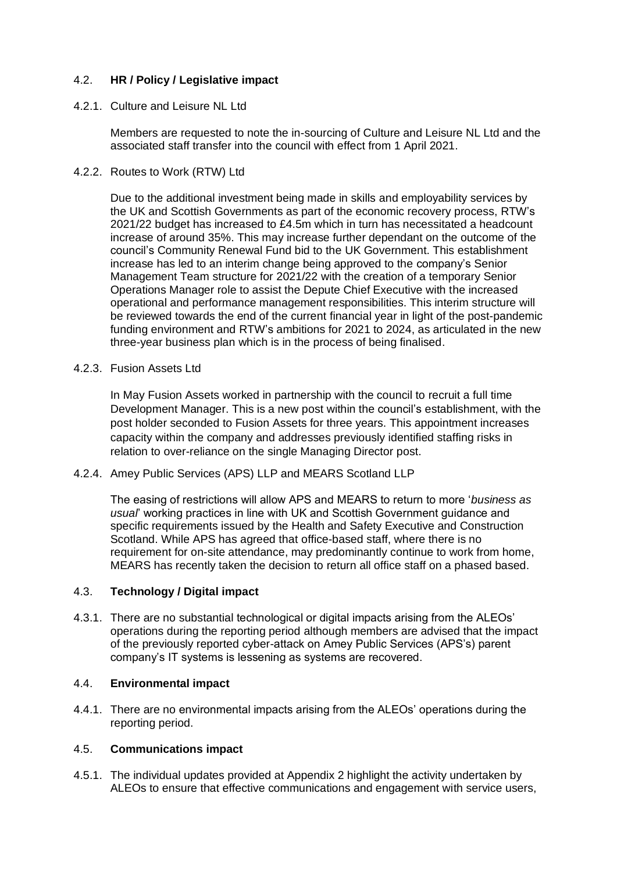## 4.2. **HR / Policy / Legislative impact**

#### 4.2.1. Culture and Leisure NL Ltd

Members are requested to note the in-sourcing of Culture and Leisure NL Ltd and the associated staff transfer into the council with effect from 1 April 2021.

#### 4.2.2. Routes to Work (RTW) Ltd

Due to the additional investment being made in skills and employability services by the UK and Scottish Governments as part of the economic recovery process, RTW's 2021/22 budget has increased to £4.5m which in turn has necessitated a headcount increase of around 35%. This may increase further dependant on the outcome of the council's Community Renewal Fund bid to the UK Government. This establishment increase has led to an interim change being approved to the company's Senior Management Team structure for 2021/22 with the creation of a temporary Senior Operations Manager role to assist the Depute Chief Executive with the increased operational and performance management responsibilities. This interim structure will be reviewed towards the end of the current financial year in light of the post-pandemic funding environment and RTW's ambitions for 2021 to 2024, as articulated in the new three-year business plan which is in the process of being finalised.

#### 4.2.3. Fusion Assets Ltd

In May Fusion Assets worked in partnership with the council to recruit a full time Development Manager. This is a new post within the council's establishment, with the post holder seconded to Fusion Assets for three years. This appointment increases capacity within the company and addresses previously identified staffing risks in relation to over-reliance on the single Managing Director post.

#### 4.2.4. Amey Public Services (APS) LLP and MEARS Scotland LLP

The easing of restrictions will allow APS and MEARS to return to more '*business as usual*' working practices in line with UK and Scottish Government guidance and specific requirements issued by the Health and Safety Executive and Construction Scotland. While APS has agreed that office-based staff, where there is no requirement for on-site attendance, may predominantly continue to work from home, MEARS has recently taken the decision to return all office staff on a phased based.

#### 4.3. **Technology / Digital impact**

4.3.1. There are no substantial technological or digital impacts arising from the ALEOs' operations during the reporting period although members are advised that the impact of the previously reported cyber-attack on Amey Public Services (APS's) parent company's IT systems is lessening as systems are recovered.

#### 4.4. **Environmental impact**

4.4.1. There are no environmental impacts arising from the ALEOs' operations during the reporting period.

#### 4.5. **Communications impact**

4.5.1. The individual updates provided at Appendix 2 highlight the activity undertaken by ALEOs to ensure that effective communications and engagement with service users,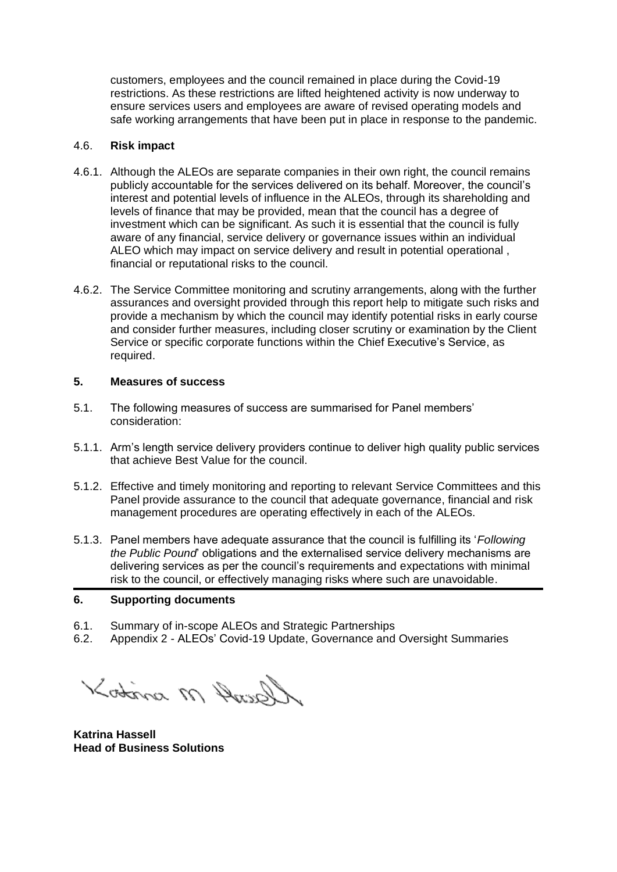customers, employees and the council remained in place during the Covid-19 restrictions. As these restrictions are lifted heightened activity is now underway to ensure services users and employees are aware of revised operating models and safe working arrangements that have been put in place in response to the pandemic.

#### 4.6. **Risk impact**

- 4.6.1. Although the ALEOs are separate companies in their own right, the council remains publicly accountable for the services delivered on its behalf. Moreover, the council's interest and potential levels of influence in the ALEOs, through its shareholding and levels of finance that may be provided, mean that the council has a degree of investment which can be significant. As such it is essential that the council is fully aware of any financial, service delivery or governance issues within an individual ALEO which may impact on service delivery and result in potential operational , financial or reputational risks to the council.
- 4.6.2. The Service Committee monitoring and scrutiny arrangements, along with the further assurances and oversight provided through this report help to mitigate such risks and provide a mechanism by which the council may identify potential risks in early course and consider further measures, including closer scrutiny or examination by the Client Service or specific corporate functions within the Chief Executive's Service, as required.

#### **5. Measures of success**

- 5.1. The following measures of success are summarised for Panel members' consideration:
- 5.1.1. Arm's length service delivery providers continue to deliver high quality public services that achieve Best Value for the council.
- 5.1.2. Effective and timely monitoring and reporting to relevant Service Committees and this Panel provide assurance to the council that adequate governance, financial and risk management procedures are operating effectively in each of the ALEOs.
- 5.1.3. Panel members have adequate assurance that the council is fulfilling its '*Following the Public Pound*' obligations and the externalised service delivery mechanisms are delivering services as per the council's requirements and expectations with minimal risk to the council, or effectively managing risks where such are unavoidable.

#### **6. Supporting documents**

- 6.1. Summary of in-scope ALEOs and Strategic Partnerships
- 6.2. Appendix 2 ALEOs' Covid-19 Update, Governance and Oversight Summaries

Gault M sintos

**Katrina Hassell Head of Business Solutions**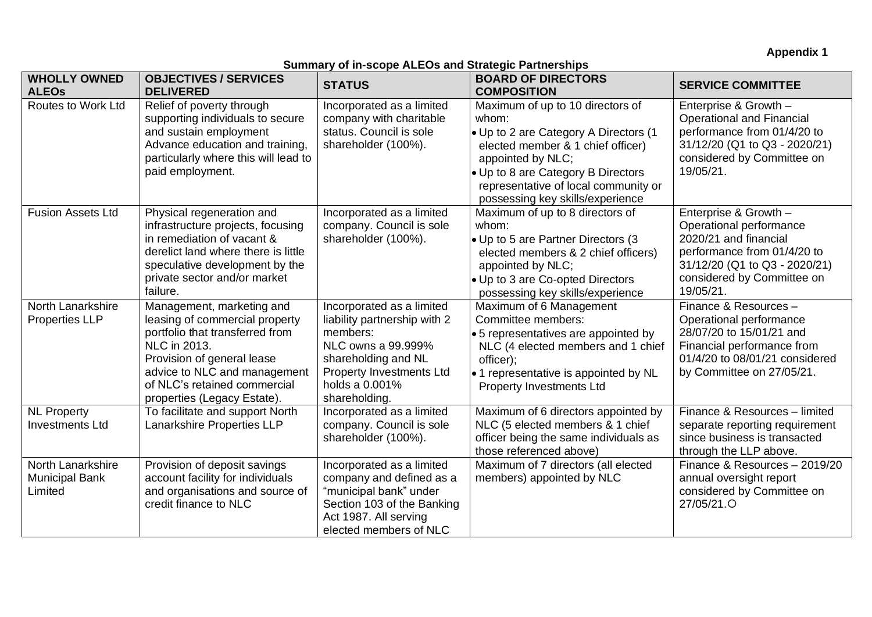**Appendix 1**

## **Summary of in-scope ALEOs and Strategic Partnerships**

| <b>WHOLLY OWNED</b><br><b>ALEOS</b>                   | <b>OBJECTIVES / SERVICES</b><br><b>DELIVERED</b>                                                                                                                                                                                           | <b>STATUS</b>                                                                                                                                                                            | <b>BOARD OF DIRECTORS</b><br><b>COMPOSITION</b>                                                                                                                                                                                                                | <b>SERVICE COMMITTEE</b>                                                                                                                                                             |
|-------------------------------------------------------|--------------------------------------------------------------------------------------------------------------------------------------------------------------------------------------------------------------------------------------------|------------------------------------------------------------------------------------------------------------------------------------------------------------------------------------------|----------------------------------------------------------------------------------------------------------------------------------------------------------------------------------------------------------------------------------------------------------------|--------------------------------------------------------------------------------------------------------------------------------------------------------------------------------------|
| Routes to Work Ltd                                    | Relief of poverty through<br>supporting individuals to secure<br>and sustain employment<br>Advance education and training,<br>particularly where this will lead to<br>paid employment.                                                     | Incorporated as a limited<br>company with charitable<br>status. Council is sole<br>shareholder (100%).                                                                                   | Maximum of up to 10 directors of<br>whom:<br>• Up to 2 are Category A Directors (1<br>elected member & 1 chief officer)<br>appointed by NLC;<br>• Up to 8 are Category B Directors<br>representative of local community or<br>possessing key skills/experience | Enterprise & Growth -<br><b>Operational and Financial</b><br>performance from 01/4/20 to<br>31/12/20 (Q1 to Q3 - 2020/21)<br>considered by Committee on<br>19/05/21.                 |
| <b>Fusion Assets Ltd</b>                              | Physical regeneration and<br>infrastructure projects, focusing<br>in remediation of vacant &<br>derelict land where there is little<br>speculative development by the<br>private sector and/or market<br>failure.                          | Incorporated as a limited<br>company. Council is sole<br>shareholder (100%).                                                                                                             | Maximum of up to 8 directors of<br>whom:<br>• Up to 5 are Partner Directors (3<br>elected members & 2 chief officers)<br>appointed by NLC;<br>• Up to 3 are Co-opted Directors<br>possessing key skills/experience                                             | Enterprise & Growth -<br>Operational performance<br>2020/21 and financial<br>performance from 01/4/20 to<br>31/12/20 (Q1 to Q3 - 2020/21)<br>considered by Committee on<br>19/05/21. |
| North Lanarkshire<br><b>Properties LLP</b>            | Management, marketing and<br>leasing of commercial property<br>portfolio that transferred from<br>NLC in 2013.<br>Provision of general lease<br>advice to NLC and management<br>of NLC's retained commercial<br>properties (Legacy Estate) | Incorporated as a limited<br>liability partnership with 2<br>members:<br>NLC owns a 99.999%<br>shareholding and NL<br><b>Property Investments Ltd</b><br>holds a 0.001%<br>shareholding. | Maximum of 6 Management<br>Committee members:<br>• 5 representatives are appointed by<br>NLC (4 elected members and 1 chief<br>officer);<br>• 1 representative is appointed by NL<br><b>Property Investments Ltd</b>                                           | Finance & Resources -<br>Operational performance<br>28/07/20 to 15/01/21 and<br>Financial performance from<br>01/4/20 to 08/01/21 considered<br>by Committee on 27/05/21.            |
| <b>NL Property</b><br><b>Investments Ltd</b>          | To facilitate and support North<br>Lanarkshire Properties LLP                                                                                                                                                                              | Incorporated as a limited<br>company. Council is sole<br>shareholder (100%).                                                                                                             | Maximum of 6 directors appointed by<br>NLC (5 elected members & 1 chief<br>officer being the same individuals as<br>those referenced above)                                                                                                                    | Finance & Resources - limited<br>separate reporting requirement<br>since business is transacted<br>through the LLP above.                                                            |
| North Lanarkshire<br><b>Municipal Bank</b><br>Limited | Provision of deposit savings<br>account facility for individuals<br>and organisations and source of<br>credit finance to NLC                                                                                                               | Incorporated as a limited<br>company and defined as a<br>"municipal bank" under<br>Section 103 of the Banking<br>Act 1987. All serving<br>elected members of NLC                         | Maximum of 7 directors (all elected<br>members) appointed by NLC                                                                                                                                                                                               | Finance & Resources - 2019/20<br>annual oversight report<br>considered by Committee on<br>27/05/21.O                                                                                 |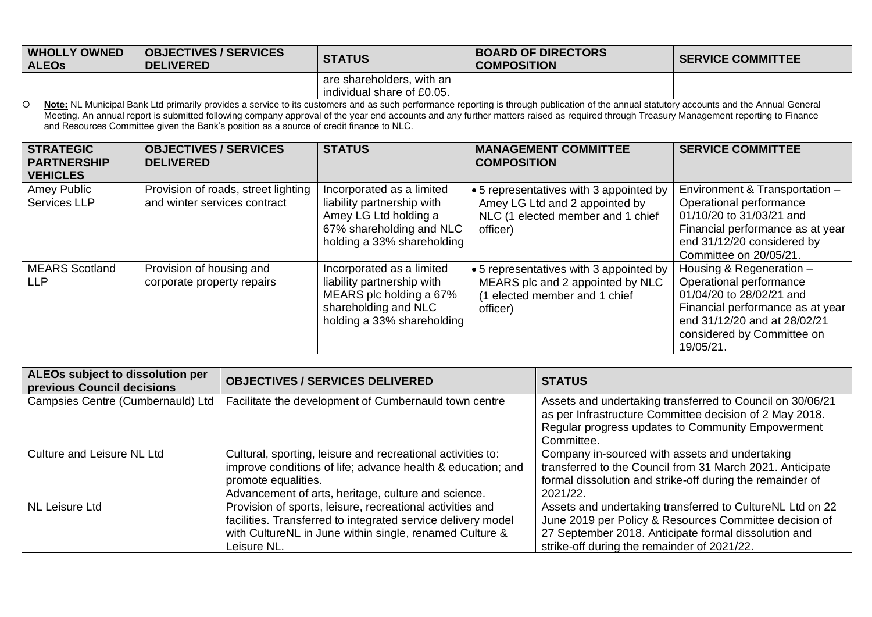| <b>WHOLLY OWNED</b><br><b>ALEOS</b> | <b>OBJECTIVES / SERVICES</b><br><b>DELIVERED</b> | <b>STATUS</b>                                             | <b>BOARD OF DIRECTORS</b><br><b>COMPOSITION</b> | <b>SERVICE COMMITTEE</b> |
|-------------------------------------|--------------------------------------------------|-----------------------------------------------------------|-------------------------------------------------|--------------------------|
|                                     |                                                  | I are shareholders, with an<br>individual share of £0.05. |                                                 |                          |

 **Note:** NL Municipal Bank Ltd primarily provides a service to its customers and as such performance reporting is through publication of the annual statutory accounts and the Annual General Meeting. An annual report is submitted following company approval of the year end accounts and any further matters raised as required through Treasury Management reporting to Finance and Resources Committee given the Bank's position as a source of credit finance to NLC.

| <b>STRATEGIC</b><br><b>PARTNERSHIP</b> | <b>OBJECTIVES / SERVICES</b><br><b>DELIVERED</b> | <b>STATUS</b>              | <b>MANAGEMENT COMMITTEE</b><br><b>COMPOSITION</b> | <b>SERVICE COMMITTEE</b>         |
|----------------------------------------|--------------------------------------------------|----------------------------|---------------------------------------------------|----------------------------------|
| <b>VEHICLES</b>                        |                                                  |                            |                                                   |                                  |
| Amey Public                            | Provision of roads, street lighting              | Incorporated as a limited  | $\bullet$ 5 representatives with 3 appointed by   | Environment & Transportation -   |
| <b>Services LLP</b>                    | and winter services contract                     | liability partnership with | Amey LG Ltd and 2 appointed by                    | Operational performance          |
|                                        |                                                  | Amey LG Ltd holding a      | NLC (1 elected member and 1 chief                 | 01/10/20 to 31/03/21 and         |
|                                        |                                                  | 67% shareholding and NLC   | officer)                                          | Financial performance as at year |
|                                        |                                                  | holding a 33% shareholding |                                                   | end 31/12/20 considered by       |
|                                        |                                                  |                            |                                                   | Committee on 20/05/21.           |
| <b>MEARS</b> Scotland                  | Provision of housing and                         | Incorporated as a limited  | $\cdot$ 5 representatives with 3 appointed by     | Housing & Regeneration -         |
| LLP                                    | corporate property repairs                       | liability partnership with | MEARS plc and 2 appointed by NLC                  | Operational performance          |
|                                        |                                                  | MEARS plc holding a 67%    | (1 elected member and 1 chief                     | 01/04/20 to 28/02/21 and         |
|                                        |                                                  | shareholding and NLC       | officer)                                          | Financial performance as at year |
|                                        |                                                  | holding a 33% shareholding |                                                   | end 31/12/20 and at 28/02/21     |
|                                        |                                                  |                            |                                                   | considered by Committee on       |
|                                        |                                                  |                            |                                                   | 19/05/21.                        |

| ALEOs subject to dissolution per<br>previous Council decisions | <b>OBJECTIVES / SERVICES DELIVERED</b>                                                                                                                                                                   | <b>STATUS</b>                                                                                                                                                                                                              |
|----------------------------------------------------------------|----------------------------------------------------------------------------------------------------------------------------------------------------------------------------------------------------------|----------------------------------------------------------------------------------------------------------------------------------------------------------------------------------------------------------------------------|
| Campsies Centre (Cumbernauld) Ltd                              | Facilitate the development of Cumbernauld town centre                                                                                                                                                    | Assets and undertaking transferred to Council on 30/06/21<br>as per Infrastructure Committee decision of 2 May 2018.<br>Regular progress updates to Community Empowerment<br>Committee.                                    |
| Culture and Leisure NL Ltd                                     | Cultural, sporting, leisure and recreational activities to:<br>improve conditions of life; advance health & education; and<br>promote equalities.<br>Advancement of arts, heritage, culture and science. | Company in-sourced with assets and undertaking<br>transferred to the Council from 31 March 2021. Anticipate<br>formal dissolution and strike-off during the remainder of<br>2021/22.                                       |
| NL Leisure Ltd                                                 | Provision of sports, leisure, recreational activities and<br>facilities. Transferred to integrated service delivery model<br>with CultureNL in June within single, renamed Culture &<br>Leisure NL.      | Assets and undertaking transferred to CultureNL Ltd on 22<br>June 2019 per Policy & Resources Committee decision of<br>27 September 2018. Anticipate formal dissolution and<br>strike-off during the remainder of 2021/22. |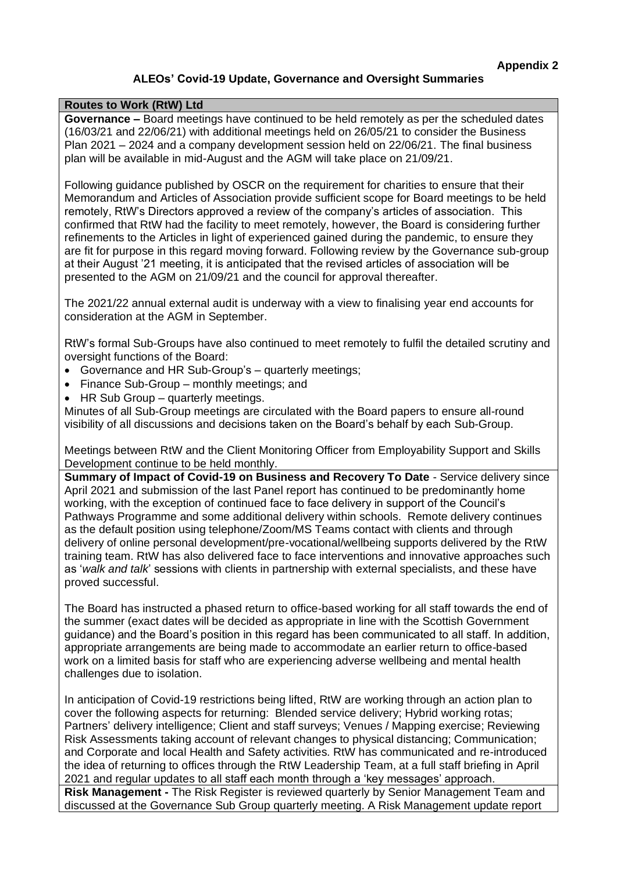## **ALEOs' Covid-19 Update, Governance and Oversight Summaries**

#### **Routes to Work (RtW) Ltd**

**Governance –** Board meetings have continued to be held remotely as per the scheduled dates (16/03/21 and 22/06/21) with additional meetings held on 26/05/21 to consider the Business Plan 2021 – 2024 and a company development session held on 22/06/21. The final business plan will be available in mid-August and the AGM will take place on 21/09/21.

Following guidance published by OSCR on the requirement for charities to ensure that their Memorandum and Articles of Association provide sufficient scope for Board meetings to be held remotely, RtW's Directors approved a review of the company's articles of association. This confirmed that RtW had the facility to meet remotely, however, the Board is considering further refinements to the Articles in light of experienced gained during the pandemic, to ensure they are fit for purpose in this regard moving forward. Following review by the Governance sub-group at their August '21 meeting, it is anticipated that the revised articles of association will be presented to the AGM on 21/09/21 and the council for approval thereafter.

The 2021/22 annual external audit is underway with a view to finalising year end accounts for consideration at the AGM in September.

RtW's formal Sub-Groups have also continued to meet remotely to fulfil the detailed scrutiny and oversight functions of the Board:

- Governance and HR Sub-Group's quarterly meetings;
- Finance Sub-Group monthly meetings; and
- HR Sub Group quarterly meetings.

Minutes of all Sub-Group meetings are circulated with the Board papers to ensure all-round visibility of all discussions and decisions taken on the Board's behalf by each Sub-Group.

Meetings between RtW and the Client Monitoring Officer from Employability Support and Skills Development continue to be held monthly.

**Summary of Impact of Covid-19 on Business and Recovery To Date** - Service delivery since April 2021 and submission of the last Panel report has continued to be predominantly home working, with the exception of continued face to face delivery in support of the Council's Pathways Programme and some additional delivery within schools. Remote delivery continues as the default position using telephone/Zoom/MS Teams contact with clients and through delivery of online personal development/pre-vocational/wellbeing supports delivered by the RtW training team. RtW has also delivered face to face interventions and innovative approaches such as '*walk and talk*' sessions with clients in partnership with external specialists, and these have proved successful.

The Board has instructed a phased return to office-based working for all staff towards the end of the summer (exact dates will be decided as appropriate in line with the Scottish Government guidance) and the Board's position in this regard has been communicated to all staff. In addition, appropriate arrangements are being made to accommodate an earlier return to office-based work on a limited basis for staff who are experiencing adverse wellbeing and mental health challenges due to isolation.

In anticipation of Covid-19 restrictions being lifted, RtW are working through an action plan to cover the following aspects for returning: Blended service delivery; Hybrid working rotas; Partners' delivery intelligence; Client and staff surveys; Venues / Mapping exercise; Reviewing Risk Assessments taking account of relevant changes to physical distancing; Communication; and Corporate and local Health and Safety activities. RtW has communicated and re-introduced the idea of returning to offices through the RtW Leadership Team, at a full staff briefing in April 2021 and regular updates to all staff each month through a 'key messages' approach. **Risk Management -** The Risk Register is reviewed quarterly by Senior Management Team and discussed at the Governance Sub Group quarterly meeting. A Risk Management update report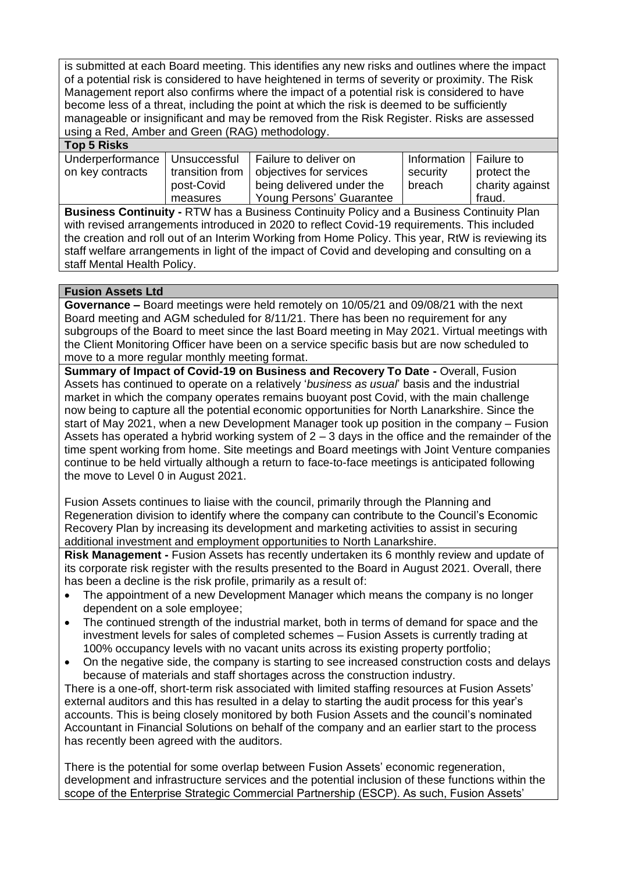is submitted at each Board meeting. This identifies any new risks and outlines where the impact of a potential risk is considered to have heightened in terms of severity or proximity. The Risk Management report also confirms where the impact of a potential risk is considered to have become less of a threat, including the point at which the risk is deemed to be sufficiently manageable or insignificant and may be removed from the Risk Register. Risks are assessed using a Red, Amber and Green (RAG) methodology.

## **Top 5 Risks**

| .                |                 |                           |                          |                 |
|------------------|-----------------|---------------------------|--------------------------|-----------------|
| Underperformance | Unsuccessful    | Failure to deliver on     | Information   Failure to |                 |
| on key contracts | transition from | objectives for services   | security                 | protect the     |
|                  | post-Covid      | being delivered under the | breach                   | charity against |
|                  | measures        | Young Persons' Guarantee  |                          | fraud.          |

**Business Continuity -** RTW has a Business Continuity Policy and a Business Continuity Plan with revised arrangements introduced in 2020 to reflect Covid-19 requirements. This included the creation and roll out of an Interim Working from Home Policy. This year, RtW is reviewing its staff welfare arrangements in light of the impact of Covid and developing and consulting on a staff Mental Health Policy.

## **Fusion Assets Ltd**

**Governance –** Board meetings were held remotely on 10/05/21 and 09/08/21 with the next Board meeting and AGM scheduled for 8/11/21. There has been no requirement for any subgroups of the Board to meet since the last Board meeting in May 2021. Virtual meetings with the Client Monitoring Officer have been on a service specific basis but are now scheduled to move to a more regular monthly meeting format.

**Summary of Impact of Covid-19 on Business and Recovery To Date -** Overall, Fusion Assets has continued to operate on a relatively '*business as usual*' basis and the industrial market in which the company operates remains buoyant post Covid, with the main challenge now being to capture all the potential economic opportunities for North Lanarkshire. Since the start of May 2021, when a new Development Manager took up position in the company – Fusion Assets has operated a hybrid working system of  $2 - 3$  days in the office and the remainder of the time spent working from home. Site meetings and Board meetings with Joint Venture companies continue to be held virtually although a return to face-to-face meetings is anticipated following the move to Level 0 in August 2021.

Fusion Assets continues to liaise with the council, primarily through the Planning and Regeneration division to identify where the company can contribute to the Council's Economic Recovery Plan by increasing its development and marketing activities to assist in securing additional investment and employment opportunities to North Lanarkshire.

**Risk Management -** Fusion Assets has recently undertaken its 6 monthly review and update of its corporate risk register with the results presented to the Board in August 2021. Overall, there has been a decline is the risk profile, primarily as a result of:

- The appointment of a new Development Manager which means the company is no longer dependent on a sole employee;
- The continued strength of the industrial market, both in terms of demand for space and the investment levels for sales of completed schemes – Fusion Assets is currently trading at 100% occupancy levels with no vacant units across its existing property portfolio;
- On the negative side, the company is starting to see increased construction costs and delays because of materials and staff shortages across the construction industry.

There is a one-off, short-term risk associated with limited staffing resources at Fusion Assets' external auditors and this has resulted in a delay to starting the audit process for this year's accounts. This is being closely monitored by both Fusion Assets and the council's nominated Accountant in Financial Solutions on behalf of the company and an earlier start to the process has recently been agreed with the auditors.

There is the potential for some overlap between Fusion Assets' economic regeneration, development and infrastructure services and the potential inclusion of these functions within the scope of the Enterprise Strategic Commercial Partnership (ESCP). As such, Fusion Assets'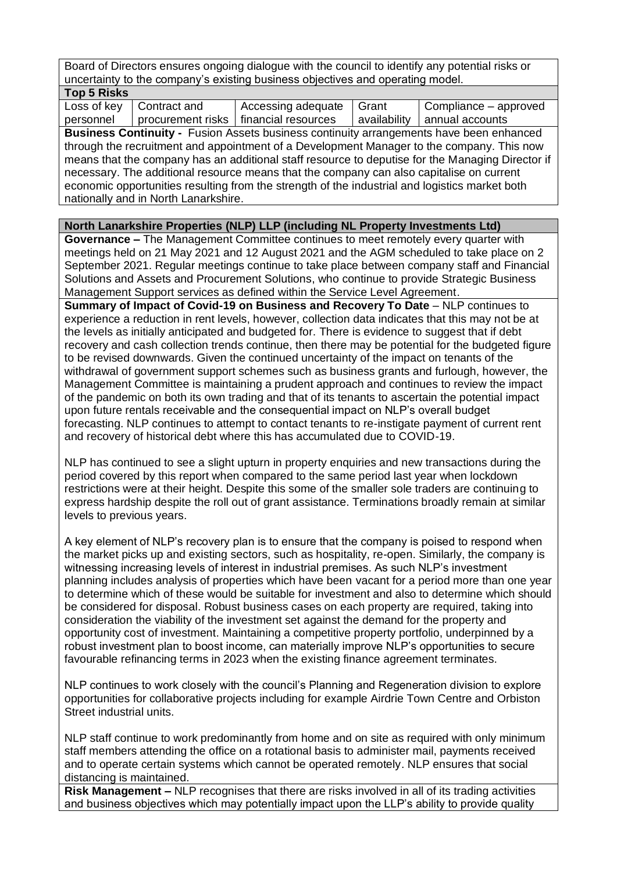Board of Directors ensures ongoing dialogue with the council to identify any potential risks or uncertainty to the company's existing business objectives and operating model.

| <b>Top 5 Risks</b>                                                                             |                                      |                                                                                          |              |                                                                                                  |  |  |  |
|------------------------------------------------------------------------------------------------|--------------------------------------|------------------------------------------------------------------------------------------|--------------|--------------------------------------------------------------------------------------------------|--|--|--|
| Loss of key                                                                                    | Contract and                         | Accessing adequate                                                                       | Grant        | Compliance – approved                                                                            |  |  |  |
| personnel                                                                                      |                                      | procurement risks   financial resources                                                  | availability | annual accounts                                                                                  |  |  |  |
|                                                                                                |                                      |                                                                                          |              | <b>Business Continuity - Fusion Assets business continuity arrangements have been enhanced</b>   |  |  |  |
|                                                                                                |                                      |                                                                                          |              | through the recruitment and appointment of a Development Manager to the company. This now        |  |  |  |
|                                                                                                |                                      |                                                                                          |              | means that the company has an additional staff resource to deputise for the Managing Director if |  |  |  |
|                                                                                                |                                      | necessary. The additional resource means that the company can also capitalise on current |              |                                                                                                  |  |  |  |
| economic opportunities resulting from the strength of the industrial and logistics market both |                                      |                                                                                          |              |                                                                                                  |  |  |  |
|                                                                                                | nationally and in North Lanarkshire. |                                                                                          |              |                                                                                                  |  |  |  |

## **North Lanarkshire Properties (NLP) LLP (including NL Property Investments Ltd)**

**Governance –** The Management Committee continues to meet remotely every quarter with meetings held on 21 May 2021 and 12 August 2021 and the AGM scheduled to take place on 2 September 2021. Regular meetings continue to take place between company staff and Financial Solutions and Assets and Procurement Solutions, who continue to provide Strategic Business Management Support services as defined within the Service Level Agreement.

**Summary of Impact of Covid-19 on Business and Recovery To Date** – NLP continues to experience a reduction in rent levels, however, collection data indicates that this may not be at the levels as initially anticipated and budgeted for. There is evidence to suggest that if debt recovery and cash collection trends continue, then there may be potential for the budgeted figure to be revised downwards. Given the continued uncertainty of the impact on tenants of the withdrawal of government support schemes such as business grants and furlough, however, the Management Committee is maintaining a prudent approach and continues to review the impact of the pandemic on both its own trading and that of its tenants to ascertain the potential impact upon future rentals receivable and the consequential impact on NLP's overall budget forecasting. NLP continues to attempt to contact tenants to re-instigate payment of current rent and recovery of historical debt where this has accumulated due to COVID-19.

NLP has continued to see a slight upturn in property enquiries and new transactions during the period covered by this report when compared to the same period last year when lockdown restrictions were at their height. Despite this some of the smaller sole traders are continuing to express hardship despite the roll out of grant assistance. Terminations broadly remain at similar levels to previous years.

A key element of NLP's recovery plan is to ensure that the company is poised to respond when the market picks up and existing sectors, such as hospitality, re-open. Similarly, the company is witnessing increasing levels of interest in industrial premises. As such NLP's investment planning includes analysis of properties which have been vacant for a period more than one year to determine which of these would be suitable for investment and also to determine which should be considered for disposal. Robust business cases on each property are required, taking into consideration the viability of the investment set against the demand for the property and opportunity cost of investment. Maintaining a competitive property portfolio, underpinned by a robust investment plan to boost income, can materially improve NLP's opportunities to secure favourable refinancing terms in 2023 when the existing finance agreement terminates.

NLP continues to work closely with the council's Planning and Regeneration division to explore opportunities for collaborative projects including for example Airdrie Town Centre and Orbiston Street industrial units.

NLP staff continue to work predominantly from home and on site as required with only minimum staff members attending the office on a rotational basis to administer mail, payments received and to operate certain systems which cannot be operated remotely. NLP ensures that social distancing is maintained.

**Risk Management –** NLP recognises that there are risks involved in all of its trading activities and business objectives which may potentially impact upon the LLP's ability to provide quality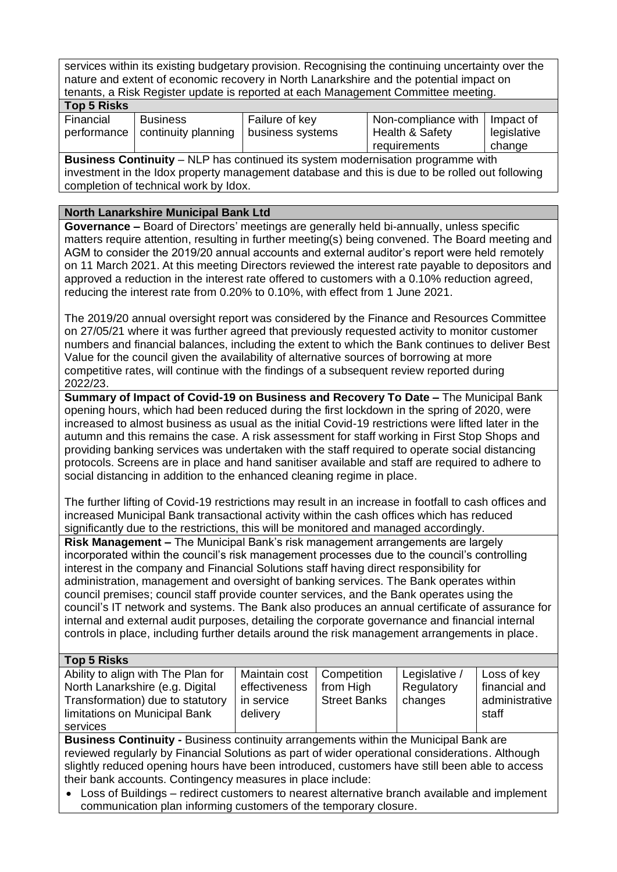services within its existing budgetary provision. Recognising the continuing uncertainty over the nature and extent of economic recovery in North Lanarkshire and the potential impact on tenants, a Risk Register update is reported at each Management Committee meeting. **Top 5 Risks**

| טווטוויט שטו |                                   |                  |                     |             |
|--------------|-----------------------------------|------------------|---------------------|-------------|
| Financial    | <b>Business</b>                   | Failure of key   | Non-compliance with | l Impact of |
|              | performance   continuity planning | business systems | Health & Safety     | legislative |
|              |                                   |                  | requirements        | change      |

**Business Continuity** – NLP has continued its system modernisation programme with investment in the Idox property management database and this is due to be rolled out following completion of technical work by Idox.

## **North Lanarkshire Municipal Bank Ltd**

**Governance –** Board of Directors' meetings are generally held bi-annually, unless specific matters require attention, resulting in further meeting(s) being convened. The Board meeting and AGM to consider the 2019/20 annual accounts and external auditor's report were held remotely on 11 March 2021. At this meeting Directors reviewed the interest rate payable to depositors and approved a reduction in the interest rate offered to customers with a 0.10% reduction agreed, reducing the interest rate from 0.20% to 0.10%, with effect from 1 June 2021.

The 2019/20 annual oversight report was considered by the Finance and Resources Committee on 27/05/21 where it was further agreed that previously requested activity to monitor customer numbers and financial balances, including the extent to which the Bank continues to deliver Best Value for the council given the availability of alternative sources of borrowing at more competitive rates, will continue with the findings of a subsequent review reported during 2022/23.

**Summary of Impact of Covid-19 on Business and Recovery To Date –** The Municipal Bank opening hours, which had been reduced during the first lockdown in the spring of 2020, were increased to almost business as usual as the initial Covid-19 restrictions were lifted later in the autumn and this remains the case. A risk assessment for staff working in First Stop Shops and providing banking services was undertaken with the staff required to operate social distancing protocols. Screens are in place and hand sanitiser available and staff are required to adhere to social distancing in addition to the enhanced cleaning regime in place.

The further lifting of Covid-19 restrictions may result in an increase in footfall to cash offices and increased Municipal Bank transactional activity within the cash offices which has reduced significantly due to the restrictions, this will be monitored and managed accordingly.

**Risk Management –** The Municipal Bank's risk management arrangements are largely incorporated within the council's risk management processes due to the council's controlling interest in the company and Financial Solutions staff having direct responsibility for administration, management and oversight of banking services. The Bank operates within council premises; council staff provide counter services, and the Bank operates using the council's IT network and systems. The Bank also produces an annual certificate of assurance for internal and external audit purposes, detailing the corporate governance and financial internal controls in place, including further details around the risk management arrangements in place.

## **Top 5 Risks**

| י טוויווי ט שט                     |                             |                     |               |                |
|------------------------------------|-----------------------------|---------------------|---------------|----------------|
| Ability to align with The Plan for | Maintain cost   Competition |                     | Legislative / | Loss of key    |
| North Lanarkshire (e.g. Digital    | effectiveness               | from High           | Regulatory    | financial and  |
| Transformation) due to statutory   | in service                  | <b>Street Banks</b> | changes       | administrative |
| limitations on Municipal Bank      | delivery                    |                     |               | staff          |
| services                           |                             |                     |               |                |

**Business Continuity -** Business continuity arrangements within the Municipal Bank are reviewed regularly by Financial Solutions as part of wider operational considerations. Although slightly reduced opening hours have been introduced, customers have still been able to access their bank accounts. Contingency measures in place include:

• Loss of Buildings – redirect customers to nearest alternative branch available and implement communication plan informing customers of the temporary closure.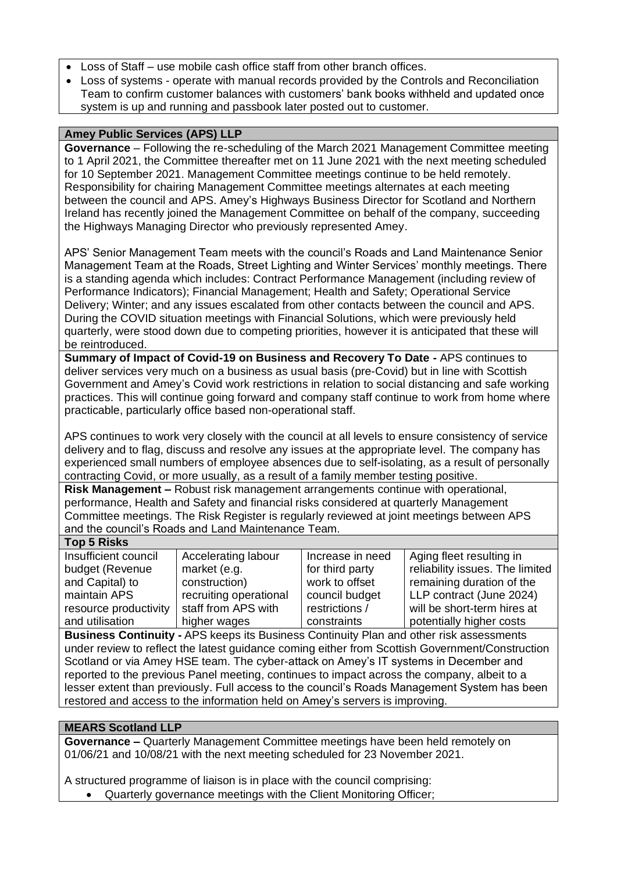- Loss of Staff use mobile cash office staff from other branch offices.
- Loss of systems operate with manual records provided by the Controls and Reconciliation Team to confirm customer balances with customers' bank books withheld and updated once system is up and running and passbook later posted out to customer.

## **Amey Public Services (APS) LLP**

**Governance** – Following the re-scheduling of the March 2021 Management Committee meeting to 1 April 2021, the Committee thereafter met on 11 June 2021 with the next meeting scheduled for 10 September 2021. Management Committee meetings continue to be held remotely. Responsibility for chairing Management Committee meetings alternates at each meeting between the council and APS. Amey's Highways Business Director for Scotland and Northern Ireland has recently joined the Management Committee on behalf of the company, succeeding the Highways Managing Director who previously represented Amey.

APS' Senior Management Team meets with the council's Roads and Land Maintenance Senior Management Team at the Roads, Street Lighting and Winter Services' monthly meetings. There is a standing agenda which includes: Contract Performance Management (including review of Performance Indicators); Financial Management; Health and Safety; Operational Service Delivery; Winter; and any issues escalated from other contacts between the council and APS. During the COVID situation meetings with Financial Solutions, which were previously held quarterly, were stood down due to competing priorities, however it is anticipated that these will be reintroduced.

**Summary of Impact of Covid-19 on Business and Recovery To Date -** APS continues to deliver services very much on a business as usual basis (pre-Covid) but in line with Scottish Government and Amey's Covid work restrictions in relation to social distancing and safe working practices. This will continue going forward and company staff continue to work from home where practicable, particularly office based non-operational staff.

APS continues to work very closely with the council at all levels to ensure consistency of service delivery and to flag, discuss and resolve any issues at the appropriate level. The company has experienced small numbers of employee absences due to self-isolating, as a result of personally contracting Covid, or more usually, as a result of a family member testing positive.

**Risk Management –** Robust risk management arrangements continue with operational, performance, Health and Safety and financial risks considered at quarterly Management Committee meetings. The Risk Register is regularly reviewed at joint meetings between APS and the council's Roads and Land Maintenance Team.

## **Top 5 Risks**

| Insufficient council  | Accelerating labour    | Increase in need | Aging fleet resulting in        |
|-----------------------|------------------------|------------------|---------------------------------|
| budget (Revenue       | market (e.g.           | for third party  | reliability issues. The limited |
| and Capital) to       | construction)          | work to offset   | remaining duration of the       |
| maintain APS          | recruiting operational | council budget   | LLP contract (June 2024)        |
| resource productivity | staff from APS with    | restrictions /   | will be short-term hires at     |
| and utilisation       | higher wages           | constraints      | potentially higher costs        |

**Business Continuity -** APS keeps its Business Continuity Plan and other risk assessments under review to reflect the latest guidance coming either from Scottish Government/Construction Scotland or via Amey HSE team. The cyber-attack on Amey's IT systems in December and reported to the previous Panel meeting, continues to impact across the company, albeit to a lesser extent than previously. Full access to the council's Roads Management System has been restored and access to the information held on Amey's servers is improving.

#### **MEARS Scotland LLP**

**Governance –** Quarterly Management Committee meetings have been held remotely on 01/06/21 and 10/08/21 with the next meeting scheduled for 23 November 2021.

A structured programme of liaison is in place with the council comprising:

• Quarterly governance meetings with the Client Monitoring Officer;